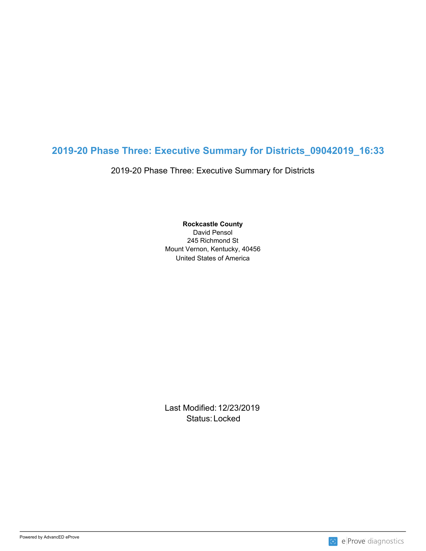## **2019-20 Phase Three: Executive Summary for Districts\_09042019\_16:33**

2019-20 Phase Three: Executive Summary for Districts

United States of America **Rockcastle County** David Pensol 245 Richmond St Mount Vernon, Kentucky, 40456

Last Modified: 12/23/2019 Status: Locked and the status of the status of the status of the status of the status of the status of the status of the status of the status of the status of the status of the status of the status of the status of the sta

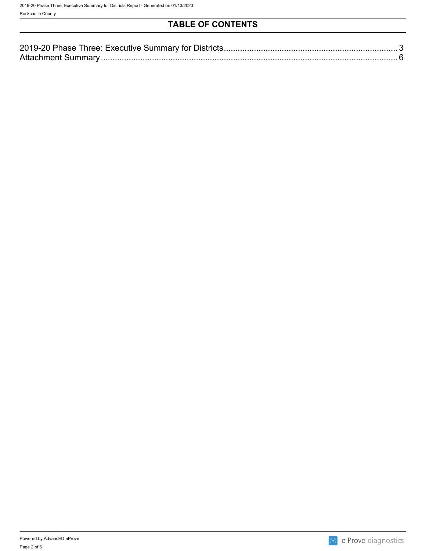## **TABLE OF CONTENTS**

| 201<br>A 11 |  |
|-------------|--|
|             |  |
|             |  |

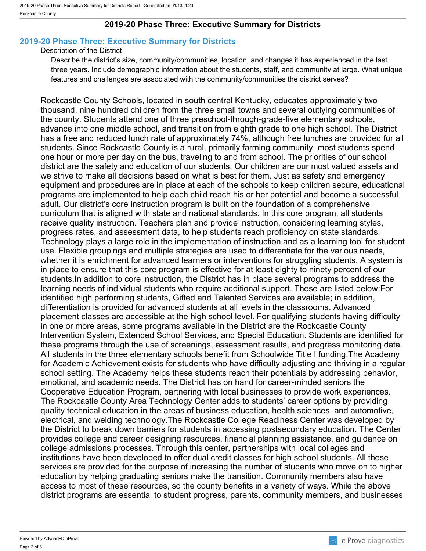### **2019-20 Phase Three: Executive Summary for Districts**

## <span id="page-2-0"></span>**2019-20 Phase Three: Executive Summary for Districts**

#### Description of the District

Describe the district's size, community/communities, location, and changes it has experienced in the last three years. Include demographic information about the students, staff, and community at large. What unique features and challenges are associated with the community/communities the district serves?

Rockcastle County Schools, located in south central Kentucky, educates approximately two thousand, nine hundred children from the three small towns and several outlying communities of the county. Students attend one of three preschool-through-grade-five elementary schools, advance into one middle school, and transition from eighth grade to one high school. The District has a free and reduced lunch rate of approximately 74%, although free lunches are provided for all students. Since Rockcastle County is a rural, primarily farming community, most students spend one hour or more per day on the bus, traveling to and from school. The priorities of our school district are the safety and education of our students. Our children are our most valued assets and we strive to make all decisions based on what is best for them. Just as safety and emergency equipment and procedures are in place at each of the schools to keep children secure, educational programs are implemented to help each child reach his or her potential and become a successful adult. Our district's core instruction program is built on the foundation of a comprehensive curriculum that is aligned with state and national standards. In this core program, all students receive quality instruction. Teachers plan and provide instruction, considering learning styles, progress rates, and assessment data, to help students reach proficiency on state standards. Technology plays a large role in the implementation of instruction and as a learning tool for student use. Flexible groupings and multiple strategies are used to differentiate for the various needs, whether it is enrichment for advanced learners or interventions for struggling students. A system is in place to ensure that this core program is effective for at least eighty to ninety percent of our students.In addition to core instruction, the District has in place several programs to address the learning needs of individual students who require additional support. These are listed below:For identified high performing students, Gifted and Talented Services are available; in addition, differentiation is provided for advanced students at all levels in the classrooms. Advanced placement classes are accessible at the high school level. For qualifying students having difficulty in one or more areas, some programs available in the District are the Rockcastle County Intervention System, Extended School Services, and Special Education. Students are identified for these programs through the use of screenings, assessment results, and progress monitoring data. All students in the three elementary schools benefit from Schoolwide Title I funding.The Academy for Academic Achievement exists for students who have difficulty adjusting and thriving in a regular school setting. The Academy helps these students reach their potentials by addressing behavior, emotional, and academic needs. The District has on hand for career-minded seniors the Cooperative Education Program, partnering with local businesses to provide work experiences. The Rockcastle County Area Technology Center adds to students' career options by providing quality technical education in the areas of business education, health sciences, and automotive, electrical, and welding technology.The Rockcastle College Readiness Center was developed by the District to break down barriers for students in accessing postsecondary education. The Center provides college and career designing resources, financial planning assistance, and guidance on college admissions processes. Through this center, partnerships with local colleges and institutions have been developed to offer dual credit classes for high school students. All these services are provided for the purpose of increasing the number of students who move on to higher education by helping graduating seniors make the transition. Community members also have access to most of these resources, so the county benefits in a variety of ways. While the above district programs are essential to student progress, parents, community members, and businesses

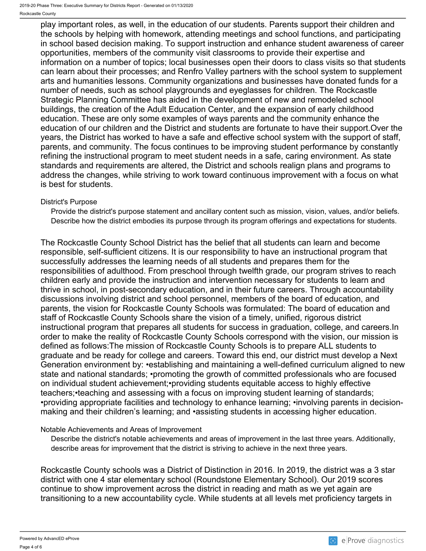play important roles, as well, in the education of our students. Parents support their children and the schools by helping with homework, attending meetings and school functions, and participating in school based decision making. To support instruction and enhance student awareness of career opportunities, members of the community visit classrooms to provide their expertise and information on a number of topics; local businesses open their doors to class visits so that students can learn about their processes; and Renfro Valley partners with the school system to supplement arts and humanities lessons. Community organizations and businesses have donated funds for a number of needs, such as school playgrounds and eyeglasses for children. The Rockcastle Strategic Planning Committee has aided in the development of new and remodeled school buildings, the creation of the Adult Education Center, and the expansion of early childhood education. These are only some examples of ways parents and the community enhance the education of our children and the District and students are fortunate to have their support.Over the years, the District has worked to have a safe and effective school system with the support of staff, parents, and community. The focus continues to be improving student performance by constantly refining the instructional program to meet student needs in a safe, caring environment. As state standards and requirements are altered, the District and schools realign plans and programs to address the changes, while striving to work toward continuous improvement with a focus on what is best for students.

#### District's Purpose

Provide the district's purpose statement and ancillary content such as mission, vision, values, and/or beliefs. Describe how the district embodies its purpose through its program offerings and expectations for students.

The Rockcastle County School District has the belief that all students can learn and become responsible, self-sufficient citizens. It is our responsibility to have an instructional program that successfully addresses the learning needs of all students and prepares them for the responsibilities of adulthood. From preschool through twelfth grade, our program strives to reach children early and provide the instruction and intervention necessary for students to learn and thrive in school, in post-secondary education, and in their future careers. Through accountability discussions involving district and school personnel, members of the board of education, and parents, the vision for Rockcastle County Schools was formulated: The board of education and staff of Rockcastle County Schools share the vision of a timely, unified, rigorous district instructional program that prepares all students for success in graduation, college, and careers.In order to make the reality of Rockcastle County Schools correspond with the vision, our mission is defined as follows:The mission of Rockcastle County Schools is to prepare ALL students to graduate and be ready for college and careers. Toward this end, our district must develop a Next Generation environment by: •establishing and maintaining a well-defined curriculum aligned to new state and national standards; •promoting the growth of committed professionals who are focused on individual student achievement;•providing students equitable access to highly effective teachers;•teaching and assessing with a focus on improving student learning of standards; •providing appropriate facilities and technology to enhance learning; •involving parents in decisionmaking and their children's learning; and •assisting students in accessing higher education.

#### Notable Achievements and Areas of Improvement

Describe the district's notable achievements and areas of improvement in the last three years. Additionally, describe areas for improvement that the district is striving to achieve in the next three years.

Rockcastle County schools was a District of Distinction in 2016. In 2019, the district was a 3 star district with one 4 star elementary school (Roundstone Elementary School). Our 2019 scores continue to show improvement across the district in reading and math as we yet again are transitioning to a new accountability cycle. While students at all levels met proficiency targets in

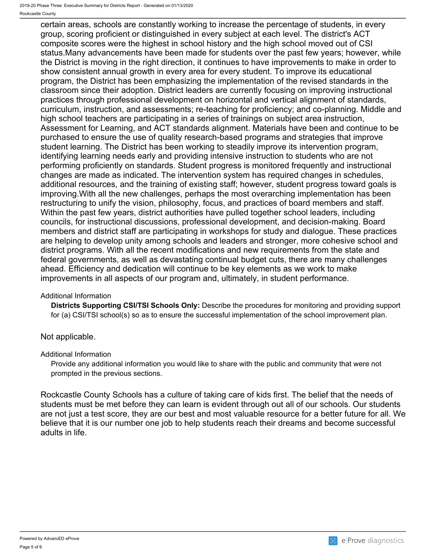certain areas, schools are constantly working to increase the percentage of students, in every group, scoring proficient or distinguished in every subject at each level. The district's ACT composite scores were the highest in school history and the high school moved out of CSI status.Many advancements have been made for students over the past few years; however, while the District is moving in the right direction, it continues to have improvements to make in order to show consistent annual growth in every area for every student. To improve its educational program, the District has been emphasizing the implementation of the revised standards in the classroom since their adoption. District leaders are currently focusing on improving instructional practices through professional development on horizontal and vertical alignment of standards, curriculum, instruction, and assessments; re-teaching for proficiency; and co-planning. Middle and high school teachers are participating in a series of trainings on subject area instruction, Assessment for Learning, and ACT standards alignment. Materials have been and continue to be purchased to ensure the use of quality research-based programs and strategies that improve student learning. The District has been working to steadily improve its intervention program, identifying learning needs early and providing intensive instruction to students who are not performing proficiently on standards. Student progress is monitored frequently and instructional changes are made as indicated. The intervention system has required changes in schedules, additional resources, and the training of existing staff; however, student progress toward goals is improving.With all the new challenges, perhaps the most overarching implementation has been restructuring to unify the vision, philosophy, focus, and practices of board members and staff. Within the past few years, district authorities have pulled together school leaders, including councils, for instructional discussions, professional development, and decision-making. Board members and district staff are participating in workshops for study and dialogue. These practices are helping to develop unity among schools and leaders and stronger, more cohesive school and district programs. With all the recent modifications and new requirements from the state and federal governments, as well as devastating continual budget cuts, there are many challenges ahead. Efficiency and dedication will continue to be key elements as we work to make improvements in all aspects of our program and, ultimately, in student performance.

#### Additional Information

**Districts Supporting CSI/TSI Schools Only:** Describe the procedures for monitoring and providing support for (a) CSI/TSI school(s) so as to ensure the successful implementation of the school improvement plan.

### Not applicable.

#### Additional Information

Provide any additional information you would like to share with the public and community that were not prompted in the previous sections.

Rockcastle County Schools has a culture of taking care of kids first. The belief that the needs of students must be met before they can learn is evident through out all of our schools. Our students are not just a test score, they are our best and most valuable resource for a better future for all. We believe that it is our number one job to help students reach their dreams and become successful adults in life.